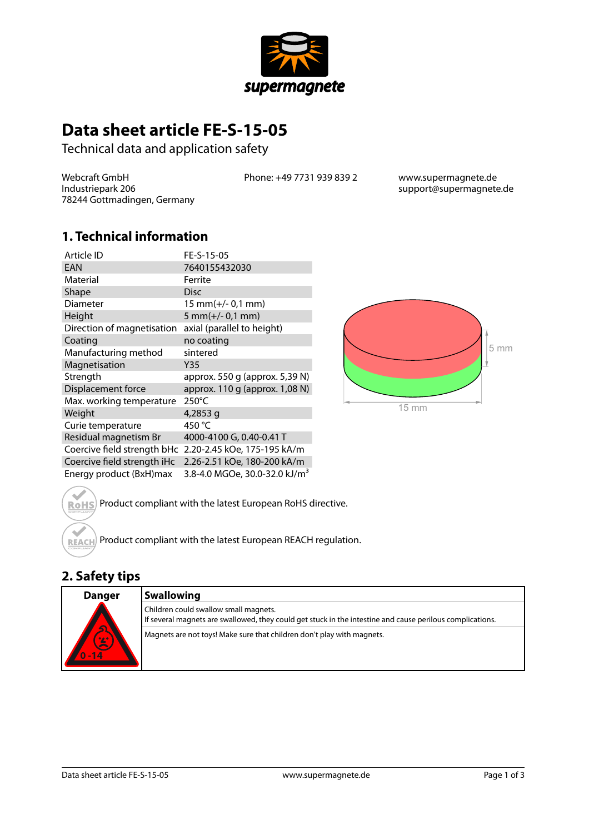

# **Data sheet article FE-S-15-05**

Technical data and application safety

Webcraft GmbH Industriepark 206 78244 Gottmadingen, Germany Phone: +49 7731 939 839 2 www.supermagnete.de

support@supermagnete.de

### **1. Technical information**

| Article ID                  | FE-S-15-05                                |
|-----------------------------|-------------------------------------------|
| EAN                         | 7640155432030                             |
| Material                    | Ferrite                                   |
| Shape                       | <b>Disc</b>                               |
| Diameter                    | $15$ mm(+/- 0,1 mm)                       |
| Height                      | $5 mm(+/- 0.1 mm)$                        |
| Direction of magnetisation  | axial (parallel to height)                |
| Coating                     | no coating                                |
| Manufacturing method        | sintered                                  |
| Magnetisation               | Y35                                       |
| Strength                    | approx. 550 g (approx. 5,39 N)            |
| Displacement force          | approx. 110 g (approx. 1,08 N)            |
| Max. working temperature    | 250°C                                     |
| Weight                      | 4,2853 g                                  |
| Curie temperature           | 450 °C                                    |
| Residual magnetism Br       | 4000-4100 G, 0.40-0.41 T                  |
| Coercive field strength bHc | 2.20-2.45 kOe, 175-195 kA/m               |
| Coercive field strength iHc | 2.26-2.51 kOe, 180-200 kA/m               |
| Energy product (BxH)max     | 3.8-4.0 MGOe, 30.0-32.0 kJ/m <sup>3</sup> |



Product compliant with the latest European RoHS directive. **RoHS** 

Product compliant with the latest European REACH regulation. **REACH** 

## **2. Safety tips**

| <b>Danger</b><br>$\overline{\mathbf{s}}$<br>0/2<br>-14 | <b>Swallowing</b>                                                                                                                                  |
|--------------------------------------------------------|----------------------------------------------------------------------------------------------------------------------------------------------------|
|                                                        | Children could swallow small magnets.<br>If several magnets are swallowed, they could get stuck in the intestine and cause perilous complications. |
|                                                        | Magnets are not toys! Make sure that children don't play with magnets.                                                                             |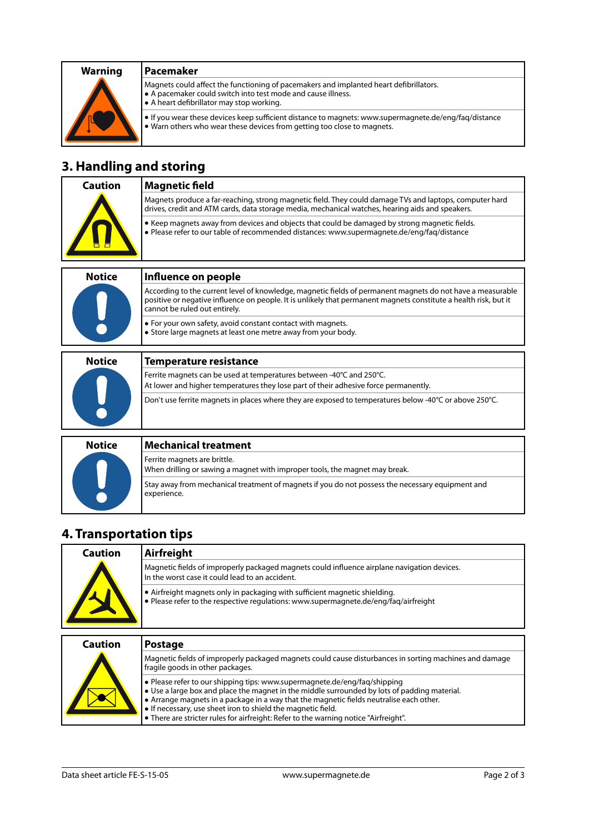

Magnets could affect the functioning of pacemakers and implanted heart defibrillators. **•** A pacemaker could switch into test mode and cause illness. **•** A heart defibrillator may stop working.

**•** If you wear these devices keep sufficient distance to magnets: [www.supermagnete.de/eng/faq/distance](http://www.supermagnete.de/eng/faq/distance) **•** Warn others who wear these devices from getting too close to magnets.

### **3. Handling and storing**

| Caution | Magnetic field                                                                                                                                                                                              |
|---------|-------------------------------------------------------------------------------------------------------------------------------------------------------------------------------------------------------------|
|         | Magnets produce a far-reaching, strong magnetic field. They could damage TVs and laptops, computer hard<br>drives, credit and ATM cards, data storage media, mechanical watches, hearing aids and speakers. |
|         | • Keep magnets away from devices and objects that could be damaged by strong magnetic fields.<br>· Please refer to our table of recommended distances: www.supermagnete.de/eng/faq/distance                 |
|         |                                                                                                                                                                                                             |

| <b>Notice</b> | Influence on people                                                                                                                                                                                                                                             |
|---------------|-----------------------------------------------------------------------------------------------------------------------------------------------------------------------------------------------------------------------------------------------------------------|
|               | According to the current level of knowledge, magnetic fields of permanent magnets do not have a measurable<br>positive or negative influence on people. It is unlikely that permanent magnets constitute a health risk, but it<br>cannot be ruled out entirely. |
|               | $\bullet$ For your own safety, avoid constant contact with magnets.<br>$\bullet$ Store large magnets at least one metre away from your body.                                                                                                                    |

| <b>Notice</b> | <b>Temperature resistance</b>                                                                                                                                |
|---------------|--------------------------------------------------------------------------------------------------------------------------------------------------------------|
|               | Ferrite magnets can be used at temperatures between -40°C and 250°C.<br>At lower and higher temperatures they lose part of their adhesive force permanently. |
|               | Don't use ferrite magnets in places where they are exposed to temperatures below -40°C or above 250°C.                                                       |
|               |                                                                                                                                                              |
| <b>Notice</b> | Mechanical treatment                                                                                                                                         |

| NULILE | MELIIAIIILAI LI EALIIIEIIL                                                                                      |
|--------|-----------------------------------------------------------------------------------------------------------------|
|        | Ferrite magnets are brittle.<br>When drilling or sawing a magnet with improper tools, the magnet may break.     |
|        | Stay away from mechanical treatment of magnets if you do not possess the necessary equipment and<br>experience. |

### **4. Transportation tips**

| <b>Caution</b> | Airfreight                                                                                                                                                                                                                                                                                                                           |
|----------------|--------------------------------------------------------------------------------------------------------------------------------------------------------------------------------------------------------------------------------------------------------------------------------------------------------------------------------------|
|                | Magnetic fields of improperly packaged magnets could influence airplane navigation devices.<br>In the worst case it could lead to an accident.                                                                                                                                                                                       |
|                | • Airfreight magnets only in packaging with sufficient magnetic shielding.<br>• Please refer to the respective regulations: www.supermagnete.de/eng/fag/airfreight                                                                                                                                                                   |
| <b>Caution</b> | <b>Postage</b>                                                                                                                                                                                                                                                                                                                       |
|                | Magnetic fields of improperly packaged magnets could cause disturbances in sorting machines and damage<br>fragile goods in other packages.                                                                                                                                                                                           |
|                | · Please refer to our shipping tips: www.supermagnete.de/eng/faq/shipping<br>• Use a large box and place the magnet in the middle surrounded by lots of padding material.<br>• Arrange magnets in a package in a way that the magnetic fields neutralise each other.<br>• If necessary, use sheet iron to shield the magnetic field. |